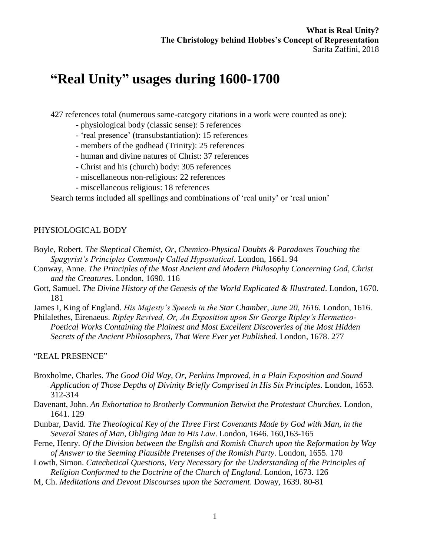# **"Real Unity" usages during 1600-1700**

427 references total (numerous same-category citations in a work were counted as one):

- physiological body (classic sense): 5 references
- 'real presence' (transubstantiation): 15 references
- members of the godhead (Trinity): 25 references
- human and divine natures of Christ: 37 references
- Christ and his (church) body: 305 references
- miscellaneous non-religious: 22 references
- miscellaneous religious: 18 references

Search terms included all spellings and combinations of 'real unity' or 'real union'

#### PHYSIOLOGICAL BODY

- Boyle, Robert. *The Skeptical Chemist, Or, Chemico-Physical Doubts & Paradoxes Touching the Spagyrist's Principles Commonly Called Hypostatical*. London, 1661. 94
- Conway, Anne. *The Principles of the Most Ancient and Modern Philosophy Concerning God, Christ and the Creatures*. London, 1690. 116
- Gott, Samuel. *The Divine History of the Genesis of the World Explicated & Illustrated*. London, 1670. 181

James I, King of England. *His Majesty's Speech in the Star Chamber, June 20, 1616.* London, 1616.

Philalethes, Eirenaeus. *Ripley Revived, Or, An Exposition upon Sir George Ripley's Hermetico-Poetical Works Containing the Plainest and Most Excellent Discoveries of the Most Hidden Secrets of the Ancient Philosophers, That Were Ever yet Published*. London, 1678. 277

"REAL PRESENCE"

- Broxholme, Charles. *The Good Old Way, Or, Perkins Improved, in a Plain Exposition and Sound Application of Those Depths of Divinity Briefly Comprised in His Six Principles*. London, 1653. 312-314
- Davenant, John. *An Exhortation to Brotherly Communion Betwixt the Protestant Churches*. London, 1641. 129
- Dunbar, David. *The Theological Key of the Three First Covenants Made by God with Man, in the Several States of Man, Obliging Man to His Law*. London, 1646. 160,163-165
- Ferne, Henry. *Of the Division between the English and Romish Church upon the Reformation by Way of Answer to the Seeming Plausible Pretenses of the Romish Party*. London, 1655. 170
- Lowth, Simon. *Catechetical Questions, Very Necessary for the Understanding of the Principles of Religion Conformed to the Doctrine of the Church of England*. London, 1673. 126
- M, Ch. *Meditations and Devout Discourses upon the Sacrament*. Doway, 1639. 80-81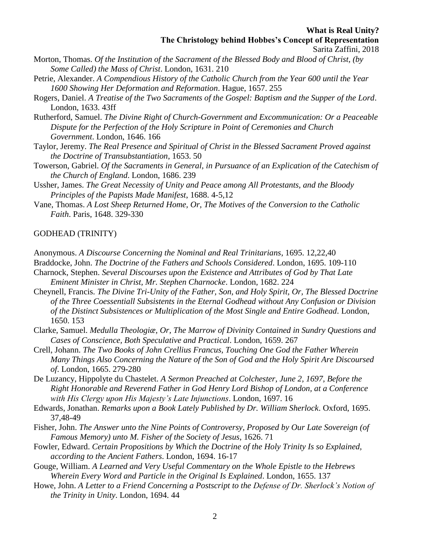- Morton, Thomas. *Of the Institution of the Sacrament of the Blessed Body and Blood of Christ, (by Some Called) the Mass of Christ*. London, 1631. 210
- Petrie, Alexander. *A Compendious History of the Catholic Church from the Year 600 until the Year 1600 Showing Her Deformation and Reformation*. Hague, 1657. 255
- Rogers, Daniel. *A Treatise of the Two Sacraments of the Gospel: Baptism and the Supper of the Lord*. London, 1633. 43ff
- Rutherford, Samuel. *The Divine Right of Church-Government and Excommunication: Or a Peaceable Dispute for the Perfection of the Holy Scripture in Point of Ceremonies and Church Government*. London, 1646. 166
- Taylor, Jeremy. *The Real Presence and Spiritual of Christ in the Blessed Sacrament Proved against the Doctrine of Transubstantiation*, 1653. 50
- Towerson, Gabriel. *Of the Sacraments in General, in Pursuance of an Explication of the Catechism of the Church of England*. London, 1686. 239
- Ussher, James. *The Great Necessity of Unity and Peace among All Protestants, and the Bloody Principles of the Papists Made Manifest*, 1688. 4-5,12
- Vane, Thomas. *A Lost Sheep Returned Home, Or, The Motives of the Conversion to the Catholic Faith*. Paris, 1648. 329-330

#### GODHEAD (TRINITY)

- Anonymous. *A Discourse Concerning the Nominal and Real Trinitarians*, 1695. 12,22,40
- Braddocke, John. *The Doctrine of the Fathers and Schools Considered*. London, 1695. 109-110 Charnock, Stephen. *Several Discourses upon the Existence and Attributes of God by That Late Eminent Minister in Christ, Mr. Stephen Charnocke*. London, 1682. 224
- Cheynell, Francis. *The Divine Tri-Unity of the Father, Son, and Holy Spirit, Or, The Blessed Doctrine of the Three Coessentiall Subsistents in the Eternal Godhead without Any Confusion or Division of the Distinct Subsistences or Multiplication of the Most Single and Entire Godhead*. London, 1650. 153
- Clarke, Samuel. *Medulla Theologiæ, Or, The Marrow of Divinity Contained in Sundry Questions and Cases of Conscience, Both Speculative and Practical*. London, 1659. 267
- Crell, Johann. *The Two Books of John Crellius Francus, Touching One God the Father Wherein Many Things Also Concerning the Nature of the Son of God and the Holy Spirit Are Discoursed of*. London, 1665. 279-280
- De Luzancy, Hippolyte du Chastelet. *A Sermon Preached at Colchester, June 2, 1697, Before the Right Honorable and Reverend Father in God Henry Lord Bishop of London, at a Conference with His Clergy upon His Majesty's Late Injunctions*. London, 1697. 16
- Edwards, Jonathan. *Remarks upon a Book Lately Published by Dr. William Sherlock*. Oxford, 1695. 37,48-49
- Fisher, John. *The Answer unto the Nine Points of Controversy, Proposed by Our Late Sovereign (of Famous Memory) unto M. Fisher of the Society of Jesus*, 1626. 71
- Fowler, Edward. *Certain Propositions by Which the Doctrine of the Holy Trinity Is so Explained, according to the Ancient Fathers*. London, 1694. 16-17
- Gouge, William. *A Learned and Very Useful Commentary on the Whole Epistle to the Hebrews Wherein Every Word and Particle in the Original Is Explained*. London, 1655. 137
- Howe, John. *A Letter to a Friend Concerning a Postscript to the Defense of Dr. Sherlock's Notion of the Trinity in Unity*. London, 1694. 44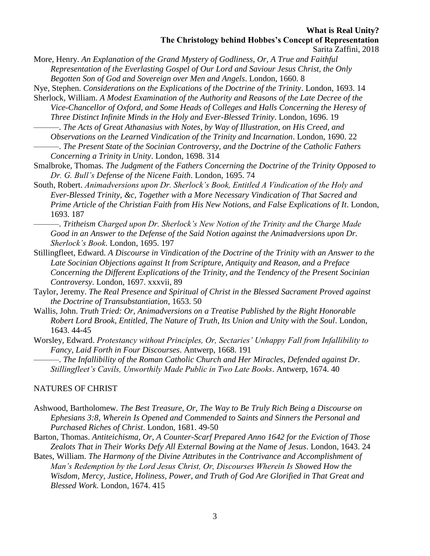Sarita Zaffini, 2018

More, Henry. *An Explanation of the Grand Mystery of Godliness, Or, A True and Faithful Representation of the Everlasting Gospel of Our Lord and Saviour Jesus Christ, the Only Begotten Son of God and Sovereign over Men and Angels*. London, 1660. 8

Nye, Stephen. *Considerations on the Explications of the Doctrine of the Trinity*. London, 1693. 14 Sherlock, William. *A Modest Examination of the Authority and Reasons of the Late Decree of the Vice-Chancellor of Oxford, and Some Heads of Colleges and Halls Concerning the Heresy of* 

*Three Distinct Infinite Minds in the Holy and Ever-Blessed Trinity*. London, 1696. 19 ———. *The Acts of Great Athanasius with Notes, by Way of Illustration, on His Creed, and* 

*Observations on the Learned Vindication of the Trinity and Incarnation*. London, 1690. 22

———. *The Present State of the Socinian Controversy, and the Doctrine of the Catholic Fathers Concerning a Trinity in Unity*. London, 1698. 314

Smalbroke, Thomas. *The Judgment of the Fathers Concerning the Doctrine of the Trinity Opposed to Dr. G. Bull's Defense of the Nicene Faith*. London, 1695. 74

South, Robert. *Animadversions upon Dr. Sherlock's Book, Entitled A Vindication of the Holy and Ever-Blessed Trinity, &c, Together with a More Necessary Vindication of That Sacred and Prime Article of the Christian Faith from His New Notions, and False Explications of It*. London, 1693. 187

———. *Tritheism Charged upon Dr. Sherlock's New Notion of the Trinity and the Charge Made Good in an Answer to the Defense of the Said Notion against the Animadversions upon Dr. Sherlock's Book*. London, 1695. 197

Stillingfleet, Edward. *A Discourse in Vindication of the Doctrine of the Trinity with an Answer to the Late Socinian Objections against It from Scripture, Antiquity and Reason, and a Preface Concerning the Different Explications of the Trinity, and the Tendency of the Present Socinian Controversy*. London, 1697. xxxvii, 89

Taylor, Jeremy. *The Real Presence and Spiritual of Christ in the Blessed Sacrament Proved against the Doctrine of Transubstantiation*, 1653. 50

Wallis, John. *Truth Tried: Or, Animadversions on a Treatise Published by the Right Honorable Robert Lord Brook, Entitled, The Nature of Truth, Its Union and Unity with the Soul*. London, 1643. 44-45

Worsley, Edward. *Protestancy without Principles, Or, Sectaries' Unhappy Fall from Infallibility to Fancy, Laid Forth in Four Discourses*. Antwerp, 1668. 191

———. *The Infallibility of the Roman Catholic Church and Her Miracles, Defended against Dr. Stillingfleet's Cavils, Unworthily Made Public in Two Late Books*. Antwerp, 1674. 40

#### NATURES OF CHRIST

- Ashwood, Bartholomew. *The Best Treasure, Or, The Way to Be Truly Rich Being a Discourse on Ephesians 3:8, Wherein Is Opened and Commended to Saints and Sinners the Personal and Purchased Riches of Christ*. London, 1681. 49-50
- Barton, Thomas. *Antiteichisma, Or, A Counter-Scarf Prepared Anno 1642 for the Eviction of Those Zealots That in Their Works Defy All External Bowing at the Name of Jesus*. London, 1643. 24
- Bates, William. *The Harmony of the Divine Attributes in the Contrivance and Accomplishment of Man's Redemption by the Lord Jesus Christ, Or, Discourses Wherein Is Showed How the Wisdom, Mercy, Justice, Holiness, Power, and Truth of God Are Glorified in That Great and Blessed Work*. London, 1674. 415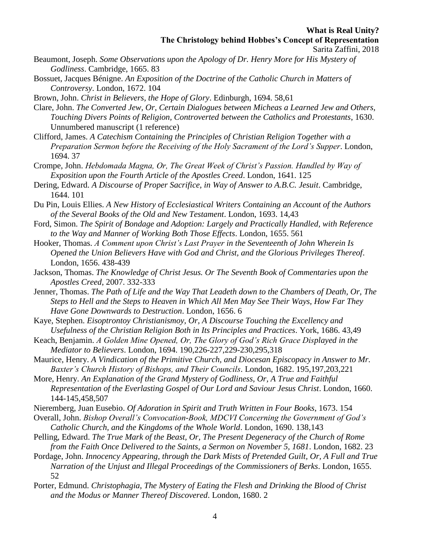- Beaumont, Joseph. *Some Observations upon the Apology of Dr. Henry More for His Mystery of Godliness*. Cambridge, 1665. 83
- Bossuet, Jacques Bénigne. *An Exposition of the Doctrine of the Catholic Church in Matters of Controversy*. London, 1672. 104
- Brown, John. *Christ in Believers, the Hope of Glory*. Edinburgh, 1694. 58,61
- Clare, John. *The Converted Jew, Or, Certain Dialogues between Micheas a Learned Jew and Others, Touching Divers Points of Religion, Controverted between the Catholics and Protestants*, 1630. Unnumbered manuscript (1 reference)
- Clifford, James. *A Catechism Containing the Principles of Christian Religion Together with a Preparation Sermon before the Receiving of the Holy Sacrament of the Lord's Supper*. London, 1694. 37
- Crompe, John. *Hebdomada Magna, Or, The Great Week of Christ's Passion. Handled by Way of Exposition upon the Fourth Article of the Apostles Creed*. London, 1641. 125
- Dering, Edward. *A Discourse of Proper Sacrifice, in Way of Answer to A.B.C. Jesuit*. Cambridge, 1644. 101
- Du Pin, Louis Ellies. *A New History of Ecclesiastical Writers Containing an Account of the Authors of the Several Books of the Old and New Testament*. London, 1693. 14,43
- Ford, Simon. *The Spirit of Bondage and Adoption: Largely and Practically Handled, with Reference to the Way and Manner of Working Both Those Effects*. London, 1655. 561
- Hooker, Thomas. *A Comment upon Christ's Last Prayer in the Seventeenth of John Wherein Is Opened the Union Believers Have with God and Christ, and the Glorious Privileges Thereof*. London, 1656. 438-439
- Jackson, Thomas. *The Knowledge of Christ Jesus. Or The Seventh Book of Commentaries upon the Apostles Creed*, 2007. 332-333
- Jenner, Thomas. *The Path of Life and the Way That Leadeth down to the Chambers of Death, Or, The Steps to Hell and the Steps to Heaven in Which All Men May See Their Ways, How Far They Have Gone Downwards to Destruction*. London, 1656. 6
- Kaye, Stephen. *Eisoptrontoy Christianismoy, Or, A Discourse Touching the Excellency and Usefulness of the Christian Religion Both in Its Principles and Practices*. York, 1686. 43,49
- Keach, Benjamin. *A Golden Mine Opened, Or, The Glory of God's Rich Grace Displayed in the Mediator to Believers*. London, 1694. 190,226-227,229-230,295,318
- Maurice, Henry. *A Vindication of the Primitive Church, and Diocesan Episcopacy in Answer to Mr. Baxter's Church History of Bishops, and Their Councils*. London, 1682. 195,197,203,221
- More, Henry. *An Explanation of the Grand Mystery of Godliness, Or, A True and Faithful Representation of the Everlasting Gospel of Our Lord and Saviour Jesus Christ*. London, 1660. 144-145,458,507
- Nieremberg, Juan Eusebio. *Of Adoration in Spirit and Truth Written in Four Books*, 1673. 154
- Overall, John. *Bishop Overall's Convocation-Book, MDCVI Concerning the Government of God's Catholic Church, and the Kingdoms of the Whole World*. London, 1690. 138,143
- Pelling, Edward. *The True Mark of the Beast, Or, The Present Degeneracy of the Church of Rome from the Faith Once Delivered to the Saints, a Sermon on November 5, 1681*. London, 1682. 23
- Pordage, John. *Innocency Appearing, through the Dark Mists of Pretended Guilt, Or, A Full and True Narration of the Unjust and Illegal Proceedings of the Commissioners of Berks*. London, 1655. 52
- Porter, Edmund. *Christophagia, The Mystery of Eating the Flesh and Drinking the Blood of Christ and the Modus or Manner Thereof Discovered*. London, 1680. 2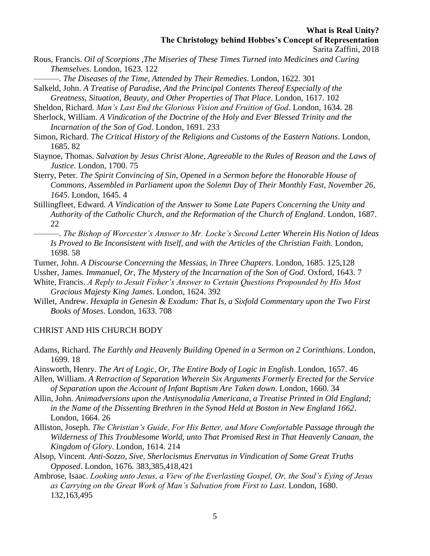- Sarita Zaffini, 2018
- Rous, Francis. *Oil of Scorpions ,The Miseries of These Times Turned into Medicines and Curing Themselves*. London, 1623. 122

———. *The Diseases of the Time, Attended by Their Remedies*. London, 1622. 301

- Salkeld, John. *A Treatise of Paradise, And the Principal Contents Thereof Especially of the Greatness, Situation, Beauty, and Other Properties of That Place*. London, 1617. 102
- Sheldon, Richard. *Man's Last End the Glorious Vision and Fruition of God*. London, 1634. 28
- Sherlock, William. *A Vindication of the Doctrine of the Holy and Ever Blessed Trinity and the Incarnation of the Son of God*. London, 1691. 233
- Simon, Richard. *The Critical History of the Religions and Customs of the Eastern Nations*. London, 1685. 82
- Staynoe, Thomas. *Salvation by Jesus Christ Alone, Agreeable to the Rules of Reason and the Laws of Justice*. London, 1700. 75
- Sterry, Peter. *The Spirit Convincing of Sin, Opened in a Sermon before the Honorable House of Commons, Assembled in Parliament upon the Solemn Day of Their Monthly Fast, November 26, 1645*. London, 1645. 4
- Stillingfleet, Edward. *A Vindication of the Answer to Some Late Papers Concerning the Unity and Authority of the Catholic Church, and the Reformation of the Church of England*. London, 1687. 22
- ———. *The Bishop of Worcester's Answer to Mr. Locke's Second Letter Wherein His Notion of Ideas Is Proved to Be Inconsistent with Itself, and with the Articles of the Christian Faith.* London, 1698. 58
- Turner, John. *A Discourse Concerning the Messias, in Three Chapters*. London, 1685. 125,128
- Ussher, James. *Immanuel, Or, The Mystery of the Incarnation of the Son of God*. Oxford, 1643. 7
- White, Francis. *A Reply to Jesuit Fisher's Answer to Certain Questions Propounded by His Most Gracious Majesty King James*. London, 1624. 392
- Willet, Andrew. *Hexapla in Genesin & Exodum: That Is, a Sixfold Commentary upon the Two First Books of Moses*. London, 1633. 708

### CHRIST AND HIS CHURCH BODY

- Adams, Richard. *The Earthly and Heavenly Building Opened in a Sermon on 2 Corinthians*. London, 1699. 18
- Ainsworth, Henry. *The Art of Logic, Or, The Entire Body of Logic in English*. London, 1657. 46
- Allen, William. *A Retraction of Separation Wherein Six Arguments Formerly Erected for the Service of Separation upon the Account of Infant Baptism Are Taken down*. London, 1660. 34
- Allin, John. *Animadversions upon the Antisynodalia Americana, a Treatise Printed in Old England; in the Name of the Dissenting Brethren in the Synod Held at Boston in New England 1662*. London, 1664. 26
- Alliston, Joseph. *The Christian's Guide, For His Better, and More Comfortable Passage through the Wilderness of This Troublesome World, unto That Promised Rest in That Heavenly Canaan, the Kingdom of Glory*. London, 1614. 214
- Alsop, Vincent. *Anti-Sozzo, Sive, Sherlocismus Enervatus in Vindication of Some Great Truths Opposed*. London, 1676. 383,385,418,421
- Ambrose, Isaac. *Looking unto Jesus, a View of the Everlasting Gospel, Or, the Soul's Eying of Jesus as Carrying on the Great Work of Man's Salvation from First to Last*. London, 1680. 132,163,495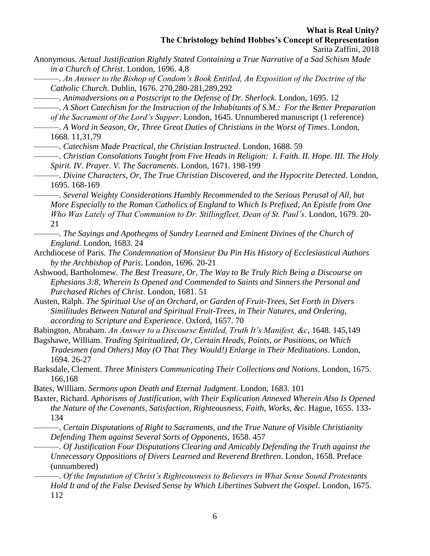Sarita Zaffini, 2018

Anonymous. *Actual Justification Rightly Stated Containing a True Narrative of a Sad Schism Made in a Church of Christ*. London, 1696. 4,8

———. *An Answer to the Bishop of Condom's Book Entitled, An Exposition of the Doctrine of the Catholic Church*. Dublin, 1676. 270,280-281,289,292

———. *Animadversions on a Postscript to the Defense of Dr. Sherlock*. London, 1695. 12

———. *A Short Catechism for the Instruction of the Inhabitants of S.M.: For the Better Preparation of the Sacrament of the Lord's Supper*. London, 1645. Unnumbered manuscript (1 reference)

———. *A Word in Season, Or, Three Great Duties of Christians in the Worst of Times*. London, 1668. 11,31,79

———. *Catechism Made Practical, the Christian Instructed*. London, 1688. 59

———. *Christian Consolations Taught from Five Heads in Religion: I. Faith. II. Hope. III. The Holy Spirit. IV. Prayer. V. The Sacraments*. London, 1671. 198-199

———. *Divine Characters, Or, The True Christian Discovered, and the Hypocrite Detected*. London, 1695. 168-169

———. *Several Weighty Considerations Humbly Recommended to the Serious Perusal of All, but More Especially to the Roman Catholics of England to Which Is Prefixed, An Epistle from One Who Was Lately of That Communion to Dr. Stillingfleet, Dean of St. Paul's*. London, 1679. 20- 21

———. *The Sayings and Apothegms of Sundry Learned and Eminent Divines of the Church of England*. London, 1683. 24

Archdiocese of Paris. *The Condemnation of Monsieur Du Pin His History of Ecclesiastical Authors by the Archbishop of Paris*. London, 1696. 20-21

Ashwood, Bartholomew. *The Best Treasure, Or, The Way to Be Truly Rich Being a Discourse on Ephesians 3:8, Wherein Is Opened and Commended to Saints and Sinners the Personal and Purchased Riches of Christ*. London, 1681. 51

Austen, Ralph. *The Spiritual Use of an Orchard, or Garden of Fruit-Trees, Set Forth in Divers Similitudes Between Natural and Spiritual Fruit-Trees, in Their Natures, and Ordering, according to Scripture and Experience*. Oxford, 1657. 70

Babington, Abraham. *An Answer to a Discourse Entitled, Truth It's Manifest, &c*, 1648. 145,149

Bagshawe, William. *Trading Spiritualized, Or, Certain Heads, Points, or Positions, on Which Tradesmen (and Others) May (O That They Would!) Enlarge in Their Meditations*. London, 1694. 26-27

Barksdale, Clement. *Three Ministers Communicating Their Collections and Notions*. London, 1675. 166,168

Bates, William. *Sermons upon Death and Eternal Judgment*. London, 1683. 101

Baxter, Richard. *Aphorisms of Justification, with Their Explication Annexed Wherein Also Is Opened the Nature of the Covenants, Satisfaction, Righteousness, Faith, Works, &c.* Hague, 1655. 133- 134

———. *Certain Disputations of Right to Sacraments, and the True Nature of Visible Christianity Defending Them against Several Sorts of Opponents*, 1658. 457

———. *Of Justification Four Disputations Clearing and Amicably Defending the Truth against the Unnecessary Oppositions of Divers Learned and Reverend Brethren*. London, 1658. Preface (unnumbered)

———. *Of the Imputation of Christ's Righteousness to Believers in What Sense Sound Protestants Hold It and of the False Devised Sense by Which Libertines Subvert the Gospel*. London, 1675. 112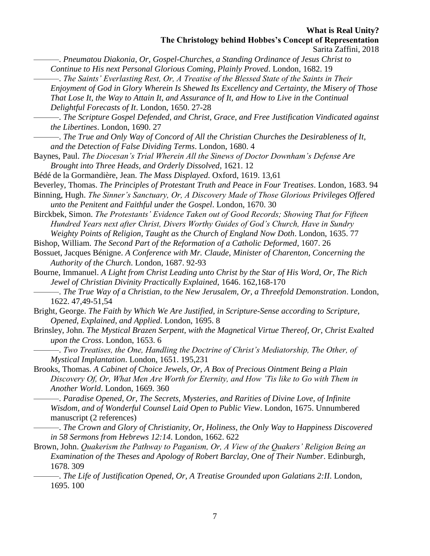Sarita Zaffini, 2018

———. *Pneumatou Diakonia, Or, Gospel-Churches, a Standing Ordinance of Jesus Christ to Continue to His next Personal Glorious Coming, Plainly Proved*. London, 1682. 19

———. *The Saints' Everlasting Rest, Or, A Treatise of the Blessed State of the Saints in Their Enjoyment of God in Glory Wherein Is Shewed Its Excellency and Certainty, the Misery of Those That Lose It, the Way to Attain It, and Assurance of It, and How to Live in the Continual Delightful Forecasts of It*. London, 1650. 27-28

- ———. *The True and Only Way of Concord of All the Christian Churches the Desirableness of It, and the Detection of False Dividing Terms*. London, 1680. 4
- Baynes, Paul. *The Diocesan's Trial Wherein All the Sinews of Doctor Downham's Defense Are Brought into Three Heads, and Orderly Dissolved*, 1621. 12

Bédé de la Gormandière, Jean. *The Mass Displayed*. Oxford, 1619. 13,61

Beverley, Thomas. *The Principles of Protestant Truth and Peace in Four Treatises*. London, 1683. 94

Binning, Hugh. *The Sinner's Sanctuary, Or, A Discovery Made of Those Glorious Privileges Offered unto the Penitent and Faithful under the Gospel*. London, 1670. 30

Birckbek, Simon. *The Protestants' Evidence Taken out of Good Records; Showing That for Fifteen Hundred Years next after Christ, Divers Worthy Guides of God's Church, Have in Sundry Weighty Points of Religion, Taught as the Church of England Now Doth*. London, 1635. 77

Bishop, William. *The Second Part of the Reformation of a Catholic Deformed*, 1607. 26

Bossuet, Jacques Bénigne. *A Conference with Mr. Claude, Minister of Charenton, Concerning the Authority of the Church*. London, 1687. 92-93

- Bourne, Immanuel. *A Light from Christ Leading unto Christ by the Star of His Word, Or, The Rich Jewel of Christian Divinity Practically Explained*, 1646. 162,168-170
- ———. *The True Way of a Christian, to the New Jerusalem, Or, a Threefold Demonstration*. London, 1622. 47,49-51,54

Bright, George. *The Faith by Which We Are Justified, in Scripture-Sense according to Scripture, Opened, Explained, and Applied*. London, 1695. 8

Brinsley, John. *The Mystical Brazen Serpent, with the Magnetical Virtue Thereof, Or, Christ Exalted upon the Cross*. London, 1653. 6

———. *Two Treatises, the One, Handling the Doctrine of Christ's Mediatorship, The Other, of Mystical Implantation*. London, 1651. 195,231

Brooks, Thomas. *A Cabinet of Choice Jewels, Or, A Box of Precious Ointment Being a Plain Discovery Of, Or, What Men Are Worth for Eternity, and How 'Tis like to Go with Them in Another World*. London, 1669. 360

———. *Paradise Opened, Or, The Secrets, Mysteries, and Rarities of Divine Love, of Infinite Wisdom, and of Wonderful Counsel Laid Open to Public View*. London, 1675. Unnumbered manuscript (2 references)

———. *The Crown and Glory of Christianity, Or, Holiness, the Only Way to Happiness Discovered in 58 Sermons from Hebrews 12:14*. London, 1662. 622

- Brown, John. *Quakerism the Pathway to Paganism, Or, A View of the Quakers' Religion Being an Examination of the Theses and Apology of Robert Barclay, One of Their Number*. Edinburgh, 1678. 309
- ———. *The Life of Justification Opened, Or, A Treatise Grounded upon Galatians 2:II*. London, 1695. 100

<sup>———.</sup> *The Scripture Gospel Defended, and Christ, Grace, and Free Justification Vindicated against the Libertines*. London, 1690. 27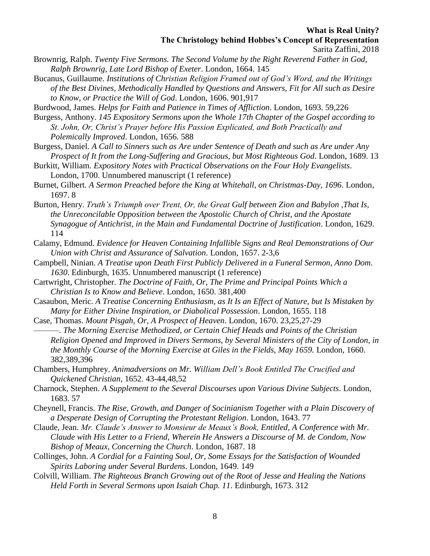- Brownrig, Ralph. *Twenty Five Sermons. The Second Volume by the Right Reverend Father in God, Ralph Brownrig, Late Lord Bishop of Exeter*. London, 1664. 145
- Bucanus, Guillaume. *Institutions of Christian Religion Framed out of God's Word, and the Writings of the Best Divines, Methodically Handled by Questions and Answers, Fit for All such as Desire to Know, or Practice the Will of God*. London, 1606. 901,917

Burdwood, James. *Helps for Faith and Patience in Times of Affliction*. London, 1693. 59,226

- Burgess, Anthony. *145 Expository Sermons upon the Whole 17th Chapter of the Gospel according to St. John, Or, Christ's Prayer before His Passion Explicated, and Both Practically and Polemically Improved*. London, 1656. 588
- Burgess, Daniel. *A Call to Sinners such as Are under Sentence of Death and such as Are under Any Prospect of It from the Long-Suffering and Gracious, but Most Righteous God*. London, 1689. 13
- Burkitt, William. *Expository Notes with Practical Observations on the Four Holy Evangelists*. London, 1700. Unnumbered manuscript (1 reference)
- Burnet, Gilbert. *A Sermon Preached before the King at Whitehall, on Christmas-Day, 1696*. London, 1697. 8
- Burton, Henry. *Truth's Triumph over Trent, Or, the Great Gulf between Zion and Babylon ,That Is, the Unreconcilable Opposition between the Apostolic Church of Christ, and the Apostate Synagogue of Antichrist, in the Main and Fundamental Doctrine of Justification*. London, 1629. 114
- Calamy, Edmund. *Evidence for Heaven Containing Infallible Signs and Real Demonstrations of Our Union with Christ and Assurance of Salvation*. London, 1657. 2-3,6
- Campbell, Ninian. *A Treatise upon Death First Publicly Delivered in a Funeral Sermon, Anno Dom. 1630*. Edinburgh, 1635. Unnumbered manuscript (1 reference)
- Cartwright, Christopher. *The Doctrine of Faith, Or, The Prime and Principal Points Which a Christian Is to Know and Believe*. London, 1650. 381,400
- Casaubon, Meric. *A Treatise Concerning Enthusiasm, as It Is an Effect of Nature, but Is Mistaken by Many for Either Divine Inspiration, or Diabolical Possession*. London, 1655. 118
- Case, Thomas. *Mount Pisgah, Or, A Prospect of Heaven*. London, 1670. 23,25,27-29 ———. *The Morning Exercise Methodized, or Certain Chief Heads and Points of the Christian Religion Opened and Improved in Divers Sermons, by Several Ministers of the City of London, in the Monthly Course of the Morning Exercise at Giles in the Fields, May 1659.* London, 1660. 382,389,396
- Chambers, Humphrey. *Animadversions on Mr. William Dell's Book Entitled The Crucified and Quickened Christian*, 1652. 43-44,48,52
- Charnock, Stephen. *A Supplement to the Several Discourses upon Various Divine Subjects*. London, 1683. 57
- Cheynell, Francis. *The Rise, Growth, and Danger of Socinianism Together with a Plain Discovery of a Desperate Design of Corrupting the Protestant Religion*. London, 1643. 77
- Claude, Jean. *Mr. Claude's Answer to Monsieur de Meaux's Book, Entitled, A Conference with Mr. Claude with His Letter to a Friend, Wherein He Answers a Discourse of M. de Condom, Now Bishop of Meaux, Concerning the Church*. London, 1687. 18
- Collinges, John. *A Cordial for a Fainting Soul, Or, Some Essays for the Satisfaction of Wounded Spirits Laboring under Several Burdens*. London, 1649. 149
- Colvill, William. *The Righteous Branch Growing out of the Root of Jesse and Healing the Nations Held Forth in Several Sermons upon Isaiah Chap. 11*. Edinburgh, 1673. 312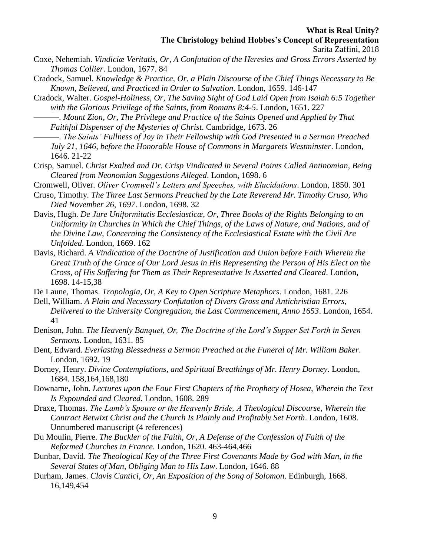- Coxe, Nehemiah. *Vindiciæ Veritatis, Or, A Confutation of the Heresies and Gross Errors Asserted by Thomas Collier*. London, 1677. 84
- Cradock, Samuel. *Knowledge & Practice, Or, a Plain Discourse of the Chief Things Necessary to Be Known, Believed, and Practiced in Order to Salvation*. London, 1659. 146-147
- Cradock, Walter. *Gospel-Holiness, Or, The Saving Sight of God Laid Open from Isaiah 6:5 Together with the Glorious Privilege of the Saints, from Romans 8:4-5*. London, 1651. 227
- ———. *Mount Zion, Or, The Privilege and Practice of the Saints Opened and Applied by That Faithful Dispenser of the Mysteries of Christ*. Cambridge, 1673. 26
- ———. *The Saints' Fullness of Joy in Their Fellowship with God Presented in a Sermon Preached July 21, 1646, before the Honorable House of Commons in Margarets Westminster*. London, 1646. 21-22
- Crisp, Samuel. *Christ Exalted and Dr. Crisp Vindicated in Several Points Called Antinomian, Being Cleared from Neonomian Suggestions Alleged*. London, 1698. 6
- Cromwell, Oliver. *Oliver Cromwell's Letters and Speeches, with Elucidations*. London, 1850. 301
- Cruso, Timothy. *The Three Last Sermons Preached by the Late Reverend Mr. Timothy Cruso, Who Died November 26, 1697*. London, 1698. 32
- Davis, Hugh. *De Jure Uniformitatis Ecclesiasticæ, Or, Three Books of the Rights Belonging to an Uniformity in Churches in Which the Chief Things, of the Laws of Nature, and Nations, and of the Divine Law, Concerning the Consistency of the Ecclesiastical Estate with the Civil Are Unfolded*. London, 1669. 162
- Davis, Richard. *A Vindication of the Doctrine of Justification and Union before Faith Wherein the Great Truth of the Grace of Our Lord Jesus in His Representing the Person of His Elect on the Cross, of His Suffering for Them as Their Representative Is Asserted and Cleared*. London, 1698. 14-15,38
- De Laune, Thomas. *Tropologia, Or, A Key to Open Scripture Metaphors*. London, 1681. 226
- Dell, William. *A Plain and Necessary Confutation of Divers Gross and Antichristian Errors, Delivered to the University Congregation, the Last Commencement, Anno 1653*. London, 1654. 41
- Denison, John. *The Heavenly Banquet, Or, The Doctrine of the Lord's Supper Set Forth in Seven Sermons*. London, 1631. 85
- Dent, Edward. *Everlasting Blessedness a Sermon Preached at the Funeral of Mr. William Baker*. London, 1692. 19
- Dorney, Henry. *Divine Contemplations, and Spiritual Breathings of Mr. Henry Dorney*. London, 1684. 158,164,168,180
- Downame, John. *Lectures upon the Four First Chapters of the Prophecy of Hosea, Wherein the Text Is Expounded and Cleared*. London, 1608. 289
- Draxe, Thomas. *The Lamb's Spouse or the Heavenly Bride, A Theological Discourse, Wherein the Contract Betwixt Christ and the Church Is Plainly and Profitably Set Forth*. London, 1608. Unnumbered manuscript (4 references)
- Du Moulin, Pierre. *The Buckler of the Faith, Or, A Defense of the Confession of Faith of the Reformed Churches in France*. London, 1620. 463-464,466
- Dunbar, David. *The Theological Key of the Three First Covenants Made by God with Man, in the Several States of Man, Obliging Man to His Law*. London, 1646. 88
- Durham, James. *Clavis Cantici, Or, An Exposition of the Song of Solomon*. Edinburgh, 1668. 16,149,454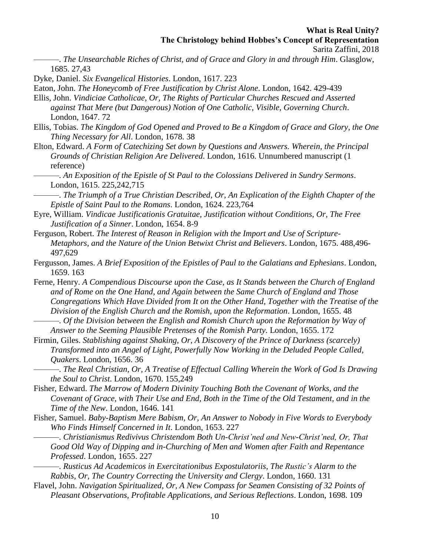———. *The Unsearchable Riches of Christ, and of Grace and Glory in and through Him*. Glasglow, 1685. 27,43

Dyke, Daniel. *Six Evangelical Histories*. London, 1617. 223

Eaton, John. *The Honeycomb of Free Justification by Christ Alone*. London, 1642. 429-439

Ellis, John. *Vindiciae Catholicae, Or, The Rights of Particular Churches Rescued and Asserted against That Mere (but Dangerous) Notion of One Catholic, Visible, Governing Church*. London, 1647. 72

Ellis, Tobias. *The Kingdom of God Opened and Proved to Be a Kingdom of Grace and Glory, the One Thing Necessary for All*. London, 1678. 38

Elton, Edward. *A Form of Catechizing Set down by Questions and Answers. Wherein, the Principal Grounds of Christian Religion Are Delivered*. London, 1616. Unnumbered manuscript (1 reference)

———. *An Exposition of the Epistle of St Paul to the Colossians Delivered in Sundry Sermons*. London, 1615. 225,242,715

———. *The Triumph of a True Christian Described, Or, An Explication of the Eighth Chapter of the Epistle of Saint Paul to the Romans*. London, 1624. 223,764

- Eyre, William. *Vindicae Justificationis Gratuitae, Justification without Conditions, Or, The Free Justification of a Sinner*. London, 1654. 8-9
- Ferguson, Robert. *The Interest of Reason in Religion with the Import and Use of Scripture-Metaphors, and the Nature of the Union Betwixt Christ and Believers*. London, 1675. 488,496- 497,629
- Fergusson, James. *A Brief Exposition of the Epistles of Paul to the Galatians and Ephesians*. London, 1659. 163
- Ferne, Henry. *A Compendious Discourse upon the Case, as It Stands between the Church of England and of Rome on the One Hand, and Again between the Same Church of England and Those Congregations Which Have Divided from It on the Other Hand, Together with the Treatise of the Division of the English Church and the Romish, upon the Reformation*. London, 1655. 48 ———. *Of the Division between the English and Romish Church upon the Reformation by Way of*

*Answer to the Seeming Plausible Pretenses of the Romish Party*. London, 1655. 172

Firmin, Giles. *Stablishing against Shaking, Or, A Discovery of the Prince of Darkness (scarcely) Transformed into an Angel of Light, Powerfully Now Working in the Deluded People Called, Quakers*. London, 1656. 36

———. *The Real Christian, Or, A Treatise of Effectual Calling Wherein the Work of God Is Drawing the Soul to Christ*. London, 1670. 155,249

Fisher, Edward. *The Marrow of Modern Divinity Touching Both the Covenant of Works, and the Covenant of Grace, with Their Use and End, Both in the Time of the Old Testament, and in the Time of the New*. London, 1646. 141

Fisher, Samuel. *Baby-Baptism Mere Babism, Or, An Answer to Nobody in Five Words to Everybody Who Finds Himself Concerned in It*. London, 1653. 227

- ———. *Christianismus Redivivus Christendom Both Un-Christ'ned and New-Christ'ned, Or, That Good Old Way of Dipping and in-Churching of Men and Women after Faith and Repentance Professed*. London, 1655. 227
- ———. *Rusticus Ad Academicos in Exercitationibus Expostulatoriis, The Rustic's Alarm to the Rabbis, Or, The Country Correcting the University and Clergy*. London, 1660. 131
- Flavel, John. *Navigation Spiritualized, Or, A New Compass for Seamen Consisting of 32 Points of Pleasant Observations, Profitable Applications, and Serious Reflections*. London, 1698. 109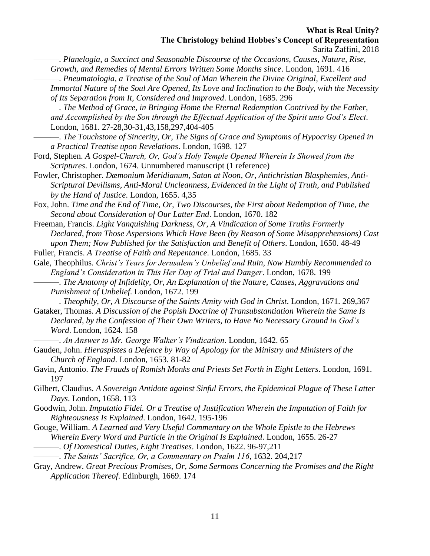Sarita Zaffini, 2018

———. *Planelogia, a Succinct and Seasonable Discourse of the Occasions, Causes, Nature, Rise, Growth, and Remedies of Mental Errors Written Some Months since*. London, 1691. 416

———. *Pneumatologia, a Treatise of the Soul of Man Wherein the Divine Original, Excellent and Immortal Nature of the Soul Are Opened, Its Love and Inclination to the Body, with the Necessity of Its Separation from It, Considered and Improved*. London, 1685. 296

———. *The Method of Grace, in Bringing Home the Eternal Redemption Contrived by the Father, and Accomplished by the Son through the Effectual Application of the Spirit unto God's Elect*. London, 1681. 27-28,30-31,43,158,297,404-405

- ———. *The Touchstone of Sincerity, Or, The Signs of Grace and Symptoms of Hypocrisy Opened in a Practical Treatise upon Revelations*. London, 1698. 127
- Ford, Stephen. *A Gospel-Church, Or, God's Holy Temple Opened Wherein Is Showed from the Scriptures*. London, 1674. Unnumbered manuscript (1 reference)
- Fowler, Christopher. *Dæmonium Meridianum, Satan at Noon, Or, Antichristian Blasphemies, Anti-Scriptural Devilisms, Anti-Moral Uncleanness, Evidenced in the Light of Truth, and Published by the Hand of Justice*. London, 1655. 4,35

Fox, John. *Time and the End of Time, Or, Two Discourses, the First about Redemption of Time, the Second about Consideration of Our Latter End*. London, 1670. 182

Freeman, Francis. *Light Vanquishing Darkness, Or, A Vindication of Some Truths Formerly Declared, from Those Aspersions Which Have Been (by Reason of Some Misapprehensions) Cast upon Them; Now Published for the Satisfaction and Benefit of Others*. London, 1650. 48-49

- Fuller, Francis. *A Treatise of Faith and Repentance*. London, 1685. 33
- Gale, Theophilus. *Christ's Tears for Jerusalem's Unbelief and Ruin, Now Humbly Recommended to England's Consideration in This Her Day of Trial and Danger*. London, 1678. 199
	- ———. *The Anatomy of Infidelity, Or, An Explanation of the Nature, Causes, Aggravations and Punishment of Unbelief*. London, 1672. 199

———. *Theophily, Or, A Discourse of the Saints Amity with God in Christ*. London, 1671. 269,367

Gataker, Thomas. *A Discussion of the Popish Doctrine of Transubstantiation Wherein the Same Is Declared, by the Confession of Their Own Writers, to Have No Necessary Ground in God's Word*. London, 1624. 158

———. *An Answer to Mr. George Walker's Vindication*. London, 1642. 65

- Gauden, John. *Hieraspistes a Defence by Way of Apology for the Ministry and Ministers of the Church of England*. London, 1653. 81-82
- Gavin, Antonio. *The Frauds of Romish Monks and Priests Set Forth in Eight Letters*. London, 1691. 197
- Gilbert, Claudius. *A Sovereign Antidote against Sinful Errors, the Epidemical Plague of These Latter Days*. London, 1658. 113

Goodwin, John. *Imputatio Fidei. Or a Treatise of Justification Wherein the Imputation of Faith for Righteousness Is Explained*. London, 1642. 195-196

- Gouge, William. *A Learned and Very Useful Commentary on the Whole Epistle to the Hebrews Wherein Every Word and Particle in the Original Is Explained*. London, 1655. 26-27
	- ———. *Of Domestical Duties, Eight Treatises*. London, 1622. 96-97,211
	- ———. *The Saints' Sacrifice, Or, a Commentary on Psalm 116*, 1632. 204,217
- Gray, Andrew. *Great Precious Promises, Or, Some Sermons Concerning the Promises and the Right Application Thereof*. Edinburgh, 1669. 174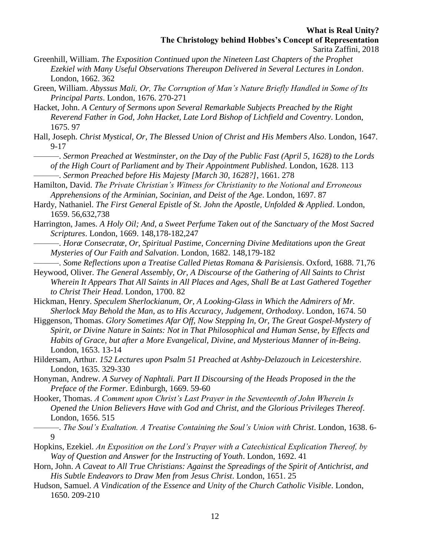- Greenhill, William. *The Exposition Continued upon the Nineteen Last Chapters of the Prophet Ezekiel with Many Useful Observations Thereupon Delivered in Several Lectures in London*. London, 1662. 362
- Green, William. *Abyssus Mali, Or, The Corruption of Man's Nature Briefly Handled in Some of Its Principal Parts*. London, 1676. 270-271
- Hacket, John. *A Century of Sermons upon Several Remarkable Subjects Preached by the Right Reverend Father in God, John Hacket, Late Lord Bishop of Lichfield and Coventry*. London, 1675. 97
- Hall, Joseph. *Christ Mystical, Or, The Blessed Union of Christ and His Members Also*. London, 1647. 9-17
	- ———. *Sermon Preached at Westminster, on the Day of the Public Fast (April 5, 1628) to the Lords of the High Court of Parliament and by Their Appointment Published*. London, 1628. 113 ———. *Sermon Preached before His Majesty [March 30, 1628?]*, 1661. 278
- Hamilton, David. *The Private Christian's Witness for Christianity to the Notional and Erroneous Apprehensions of the Arminian, Socinian, and Deist of the Age*. London, 1697. 87
- Hardy, Nathaniel. *The First General Epistle of St. John the Apostle, Unfolded & Applied*. London, 1659. 56,632,738
- Harrington, James. *A Holy Oil; And, a Sweet Perfume Taken out of the Sanctuary of the Most Sacred Scriptures*. London, 1669. 148,178-182,247
- ———. *Horæ Consecratæ, Or, Spiritual Pastime, Concerning Divine Meditations upon the Great Mysteries of Our Faith and Salvation*. London, 1682. 148,179-182
- ———. *Some Reflections upon a Treatise Called Pietas Romana & Parisiensis*. Oxford, 1688. 71,76
- Heywood, Oliver. *The General Assembly, Or, A Discourse of the Gathering of All Saints to Christ Wherein It Appears That All Saints in All Places and Ages, Shall Be at Last Gathered Together to Christ Their Head*. London, 1700. 82
- Hickman, Henry. *Speculem Sherlockianum, Or, A Looking-Glass in Which the Admirers of Mr. Sherlock May Behold the Man, as to His Accuracy, Judgement, Orthodoxy*. London, 1674. 50
- Higgenson, Thomas. *Glory Sometimes Afar Off, Now Stepping In, Or, The Great Gospel-Mystery of Spirit, or Divine Nature in Saints: Not in That Philosophical and Human Sense, by Effects and Habits of Grace, but after a More Evangelical, Divine, and Mysterious Manner of in-Being*. London, 1653. 13-14
- Hildersam, Arthur. *152 Lectures upon Psalm 51 Preached at Ashby-Delazouch in Leicestershire*. London, 1635. 329-330
- Honyman, Andrew. *A Survey of Naphtali. Part II Discoursing of the Heads Proposed in the the Preface of the Former*. Edinburgh, 1669. 59-60
- Hooker, Thomas. *A Comment upon Christ's Last Prayer in the Seventeenth of John Wherein Is Opened the Union Believers Have with God and Christ, and the Glorious Privileges Thereof*. London, 1656. 515
	- ———. *The Soul's Exaltation. A Treatise Containing the Soul's Union with Christ*. London, 1638. 6-  $\overline{Q}$
- Hopkins, Ezekiel. *An Exposition on the Lord's Prayer with a Catechistical Explication Thereof, by Way of Question and Answer for the Instructing of Youth*. London, 1692. 41
- Horn, John. *A Caveat to All True Christians: Against the Spreadings of the Spirit of Antichrist, and His Subtle Endeavors to Draw Men from Jesus Christ*. London, 1651. 25
- Hudson, Samuel. *A Vindication of the Essence and Unity of the Church Catholic Visible*. London, 1650. 209-210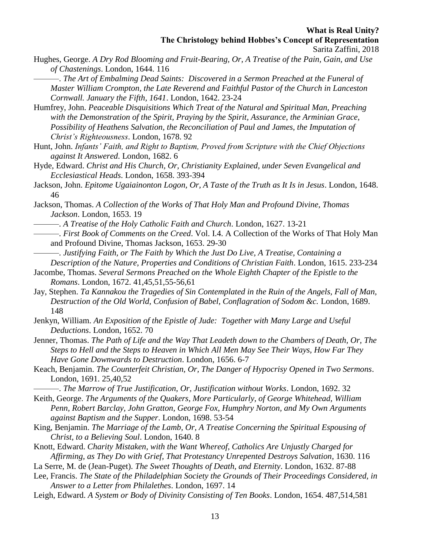Hughes, George. *A Dry Rod Blooming and Fruit-Bearing, Or, A Treatise of the Pain, Gain, and Use of Chastenings*. London, 1644. 116

———. *The Art of Embalming Dead Saints: Discovered in a Sermon Preached at the Funeral of Master William Crompton, the Late Reverend and Faithful Pastor of the Church in Lanceston Cornwall. January the Fifth, 1641*. London, 1642. 23-24

Humfrey, John. *Peaceable Disquisitions Which Treat of the Natural and Spiritual Man, Preaching with the Demonstration of the Spirit, Praying by the Spirit, Assurance, the Arminian Grace, Possibility of Heathens Salvation, the Reconciliation of Paul and James, the Imputation of Christ's Righteousness*. London, 1678. 92

Hunt, John. *Infants' Faith, and Right to Baptism, Proved from Scripture with the Chief Objections against It Answered*. London, 1682. 6

Hyde, Edward. *Christ and His Church, Or, Christianity Explained, under Seven Evangelical and Ecclesiastical Heads*. London, 1658. 393-394

Jackson, John. *Epitome Ugaiainonton Logon, Or, A Taste of the Truth as It Is in Jesus*. London, 1648. 46

Jackson, Thomas. *A Collection of the Works of That Holy Man and Profound Divine, Thomas Jackson*. London, 1653. 19

———. *A Treatise of the Holy Catholic Faith and Church*. London, 1627. 13-21

- ———. *First Book of Comments on the Creed*. Vol. I.4. A Collection of the Works of That Holy Man and Profound Divine, Thomas Jackson, 1653. 29-30
	- ———. *Justifying Faith, or The Faith by Which the Just Do Live, A Treatise, Containing a Description of the Nature, Properties and Conditions of Christian Faith*. London, 1615. 233-234

Jacombe, Thomas. *Several Sermons Preached on the Whole Eighth Chapter of the Epistle to the Romans*. London, 1672. 41,45,51,55-56,61

Jay, Stephen. *Ta Kannakou the Tragedies of Sin Contemplated in the Ruin of the Angels, Fall of Man, Destruction of the Old World, Confusion of Babel, Conflagration of Sodom &c.* London, 1689. 148

Jenkyn, William. *An Exposition of the Epistle of Jude: Together with Many Large and Useful Deductions*. London, 1652. 70

Jenner, Thomas. *The Path of Life and the Way That Leadeth down to the Chambers of Death, Or, The Steps to Hell and the Steps to Heaven in Which All Men May See Their Ways, How Far They Have Gone Downwards to Destruction*. London, 1656. 6-7

Keach, Benjamin. *The Counterfeit Christian, Or, The Danger of Hypocrisy Opened in Two Sermons*. London, 1691. 25,40,52

———. *The Marrow of True Justification, Or, Justification without Works*. London, 1692. 32

Keith, George. *The Arguments of the Quakers, More Particularly, of George Whitehead, William Penn, Robert Barclay, John Gratton, George Fox, Humphry Norton, and My Own Arguments against Baptism and the Supper*. London, 1698. 53-54

King, Benjamin. *The Marriage of the Lamb, Or, A Treatise Concerning the Spiritual Espousing of Christ, to a Believing Soul*. London, 1640. 8

Knott, Edward. *Charity Mistaken, with the Want Whereof, Catholics Are Unjustly Charged for Affirming, as They Do with Grief, That Protestancy Unrepented Destroys Salvation*, 1630. 116

La Serre, M. de (Jean-Puget). *The Sweet Thoughts of Death, and Eternity*. London, 1632. 87-88

Lee, Francis. *The State of the Philadelphian Society the Grounds of Their Proceedings Considered, in Answer to a Letter from Philalethes*. London, 1697. 14

Leigh, Edward. *A System or Body of Divinity Consisting of Ten Books*. London, 1654. 487,514,581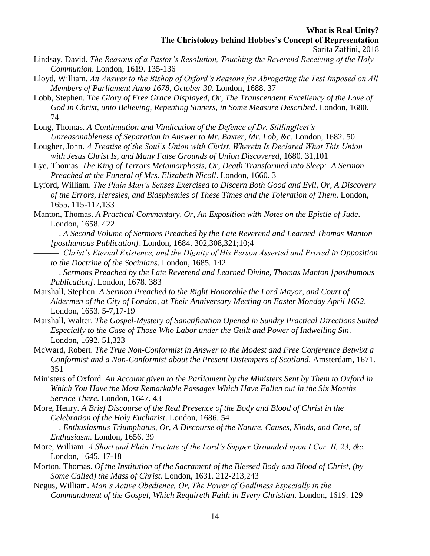- Sarita Zaffini, 2018
- Lindsay, David. *The Reasons of a Pastor's Resolution, Touching the Reverend Receiving of the Holy Communion*. London, 1619. 135-136
- Lloyd, William. *An Answer to the Bishop of Oxford's Reasons for Abrogating the Test Imposed on All Members of Parliament Anno 1678, October 30*. London, 1688. 37
- Lobb, Stephen. *The Glory of Free Grace Displayed, Or, The Transcendent Excellency of the Love of God in Christ, unto Believing, Repenting Sinners, in Some Measure Described*. London, 1680. 74
- Long, Thomas. *A Continuation and Vindication of the Defence of Dr. Stillingfleet's Unreasonableness of Separation in Answer to Mr. Baxter, Mr. Lob, &c.* London, 1682. 50
- Lougher, John. *A Treatise of the Soul's Union with Christ, Wherein Is Declared What This Union with Jesus Christ Is, and Many False Grounds of Union Discovered*, 1680. 31,101
- Lye, Thomas. *The King of Terrors Metamorphosis, Or, Death Transformed into Sleep: A Sermon Preached at the Funeral of Mrs. Elizabeth Nicoll*. London, 1660. 3
- Lyford, William. *The Plain Man's Senses Exercised to Discern Both Good and Evil, Or, A Discovery of the Errors, Heresies, and Blasphemies of These Times and the Toleration of Them*. London, 1655. 115-117,133
- Manton, Thomas. *A Practical Commentary, Or, An Exposition with Notes on the Epistle of Jude*. London, 1658. 422
- ———. *A Second Volume of Sermons Preached by the Late Reverend and Learned Thomas Manton [posthumous Publication]*. London, 1684. 302,308,321;10;4
	- ———. *Christ's Eternal Existence, and the Dignity of His Person Asserted and Proved in Opposition to the Doctrine of the Socinians*. London, 1685. 142
	- ———. *Sermons Preached by the Late Reverend and Learned Divine, Thomas Manton [posthumous Publication]*. London, 1678. 383
- Marshall, Stephen. *A Sermon Preached to the Right Honorable the Lord Mayor, and Court of Aldermen of the City of London, at Their Anniversary Meeting on Easter Monday April 1652*. London, 1653. 5-7,17-19
- Marshall, Walter. *The Gospel-Mystery of Sanctification Opened in Sundry Practical Directions Suited Especially to the Case of Those Who Labor under the Guilt and Power of Indwelling Sin*. London, 1692. 51,323
- McWard, Robert. *The True Non-Conformist in Answer to the Modest and Free Conference Betwixt a Conformist and a Non-Conformist about the Present Distempers of Scotland*. Amsterdam, 1671. 351
- Ministers of Oxford. *An Account given to the Parliament by the Ministers Sent by Them to Oxford in Which You Have the Most Remarkable Passages Which Have Fallen out in the Six Months Service There*. London, 1647. 43
- More, Henry. *A Brief Discourse of the Real Presence of the Body and Blood of Christ in the Celebration of the Holy Eucharist*. London, 1686. 54
	- ———. *Enthusiasmus Triumphatus, Or, A Discourse of the Nature, Causes, Kinds, and Cure, of Enthusiasm*. London, 1656. 39
- More, William. *A Short and Plain Tractate of the Lord's Supper Grounded upon I Cor. II, 23, &c.* London, 1645. 17-18
- Morton, Thomas. *Of the Institution of the Sacrament of the Blessed Body and Blood of Christ, (by Some Called) the Mass of Christ*. London, 1631. 212-213,243
- Negus, William. *Man's Active Obedience, Or, The Power of Godliness Especially in the Commandment of the Gospel, Which Requireth Faith in Every Christian*. London, 1619. 129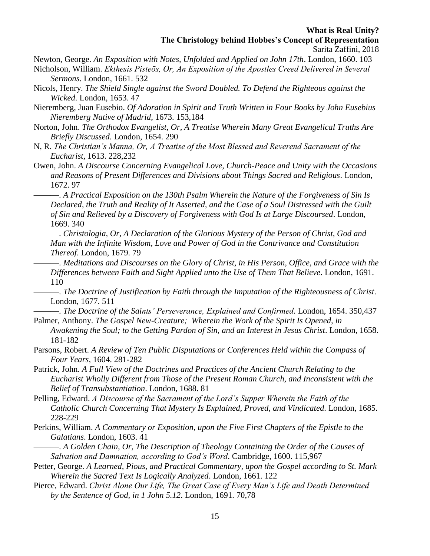Newton, George. *An Exposition with Notes, Unfolded and Applied on John 17th*. London, 1660. 103

- Nicholson, William. *Ekthesis Pisteōs, Or, An Exposition of the Apostles Creed Delivered in Several Sermons*. London, 1661. 532
- Nicols, Henry. *The Shield Single against the Sword Doubled. To Defend the Righteous against the Wicked*. London, 1653. 47
- Nieremberg, Juan Eusebio. *Of Adoration in Spirit and Truth Written in Four Books by John Eusebius Nieremberg Native of Madrid*, 1673. 153,184
- Norton, John. *The Orthodox Evangelist, Or, A Treatise Wherein Many Great Evangelical Truths Are Briefly Discussed*. London, 1654. 290
- N, R. *The Christian's Manna, Or, A Treatise of the Most Blessed and Reverend Sacrament of the Eucharist*, 1613. 228,232
- Owen, John. *A Discourse Concerning Evangelical Love, Church-Peace and Unity with the Occasions and Reasons of Present Differences and Divisions about Things Sacred and Religious*. London, 1672. 97
	- ———. *A Practical Exposition on the 130th Psalm Wherein the Nature of the Forgiveness of Sin Is Declared, the Truth and Reality of It Asserted, and the Case of a Soul Distressed with the Guilt of Sin and Relieved by a Discovery of Forgiveness with God Is at Large Discoursed*. London, 1669. 340
- ———. *Christologia, Or, A Declaration of the Glorious Mystery of the Person of Christ, God and Man with the Infinite Wisdom, Love and Power of God in the Contrivance and Constitution Thereof*. London, 1679. 79
- ———. *Meditations and Discourses on the Glory of Christ, in His Person, Office, and Grace with the Differences between Faith and Sight Applied unto the Use of Them That Believe*. London, 1691. 110
- ———. *The Doctrine of Justification by Faith through the Imputation of the Righteousness of Christ*. London, 1677. 511
- ———. *The Doctrine of the Saints' Perseverance, Explained and Confirmed*. London, 1654. 350,437 Palmer, Anthony. *The Gospel New-Creature; Wherein the Work of the Spirit Is Opened, in*
- *Awakening the Soul; to the Getting Pardon of Sin, and an Interest in Jesus Christ*. London, 1658. 181-182
- Parsons, Robert. *A Review of Ten Public Disputations or Conferences Held within the Compass of Four Years*, 1604. 281-282
- Patrick, John. *A Full View of the Doctrines and Practices of the Ancient Church Relating to the Eucharist Wholly Different from Those of the Present Roman Church, and Inconsistent with the Belief of Transubstantiation*. London, 1688. 81
- Pelling, Edward. *A Discourse of the Sacrament of the Lord's Supper Wherein the Faith of the Catholic Church Concerning That Mystery Is Explained, Proved, and Vindicated*. London, 1685. 228-229
- Perkins, William. *A Commentary or Exposition, upon the Five First Chapters of the Epistle to the Galatians*. London, 1603. 41
	- ———. *A Golden Chain, Or, The Description of Theology Containing the Order of the Causes of Salvation and Damnation, according to God's Word*. Cambridge, 1600. 115,967
- Petter, George. *A Learned, Pious, and Practical Commentary, upon the Gospel according to St. Mark Wherein the Sacred Text Is Logically Analyzed*. London, 1661. 122
- Pierce, Edward. *Christ Alone Our Life, The Great Case of Every Man's Life and Death Determined by the Sentence of God, in 1 John 5.12*. London, 1691. 70,78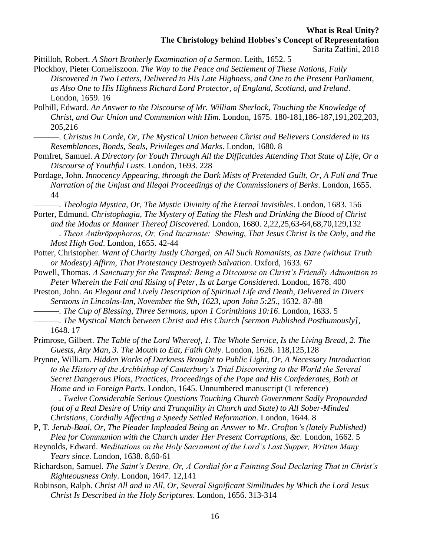Pittilloh, Robert. *A Short Brotherly Examination of a Sermon*. Leith, 1652. 5

- Plockhoy, Pieter Corneliszoon. *The Way to the Peace and Settlement of These Nations, Fully Discovered in Two Letters, Delivered to His Late Highness, and One to the Present Parliament, as Also One to His Highness Richard Lord Protector, of England, Scotland, and Ireland*. London, 1659. 16
- Polhill, Edward. *An Answer to the Discourse of Mr. William Sherlock, Touching the Knowledge of Christ, and Our Union and Communion with Him*. London, 1675. 180-181,186-187,191,202,203, 205,216
	- ———. *Christus in Corde, Or, The Mystical Union between Christ and Believers Considered in Its Resemblances, Bonds, Seals, Privileges and Marks*. London, 1680. 8
- Pomfret, Samuel. *A Directory for Youth Through All the Difficulties Attending That State of Life, Or a Discourse of Youthful Lusts*. London, 1693. 228
- Pordage, John. *Innocency Appearing, through the Dark Mists of Pretended Guilt, Or, A Full and True Narration of the Unjust and Illegal Proceedings of the Commissioners of Berks*. London, 1655. 44
	- ———. *Theologia Mystica, Or, The Mystic Divinity of the Eternal Invisibles*. London, 1683. 156
- Porter, Edmund. *Christophagia, The Mystery of Eating the Flesh and Drinking the Blood of Christ and the Modus or Manner Thereof Discovered*. London, 1680. 2,22,25,63-64,68,70,129,132 ———. *Theos Anthrōpophoros, Or, God Incarnate: Showing, That Jesus Christ Is the Only, and the*
- *Most High God*. London, 1655. 42-44 Potter, Christopher. *Want of Charity Justly Charged, on All Such Romanists, as Dare (without Truth*
- *or Modesty) Affirm, That Protestancy Destroyeth Salvation*. Oxford, 1633. 67 Powell, Thomas. *A Sanctuary for the Tempted: Being a Discourse on Christ's Friendly Admonition to*
- *Peter Wherein the Fall and Rising of Peter, Is at Large Considered*. London, 1678. 400
- Preston, John. *An Elegant and Lively Description of Spiritual Life and Death, Delivered in Divers Sermons in Lincolns-Inn, November the 9th, 1623, upon John 5:25.*, 1632. 87-88
	- ———. *The Cup of Blessing, Three Sermons, upon 1 Corinthians 10:16*. London, 1633. 5
- ———. *The Mystical Match between Christ and His Church [sermon Published Posthumously]*, 1648. 17
- Primrose, Gilbert. *The Table of the Lord Whereof, 1. The Whole Service, Is the Living Bread, 2. The Guests, Any Man, 3. The Mouth to Eat, Faith Only*. London, 1626. 118,125,128
- Prynne, William. *Hidden Works of Darkness Brought to Public Light, Or, A Necessary Introduction to the History of the Archbishop of Canterbury's Trial Discovering to the World the Several Secret Dangerous Plots, Practices, Proceedings of the Pope and His Confederates, Both at Home and in Foreign Parts*. London, 1645. Unnumbered manuscript (1 reference)
	- ———. *Twelve Considerable Serious Questions Touching Church Government Sadly Propounded (out of a Real Desire of Unity and Tranquility in Church and State) to All Sober-Minded Christians, Cordially Affecting a Speedy Settled Reformation*. London, 1644. 8
- P, T. *Jerub-Baal, Or, The Pleader Impleaded Being an Answer to Mr. Crofton's (lately Published) Plea for Communion with the Church under Her Present Corruptions, &c.* London, 1662. 5
- Reynolds, Edward. *Meditations on the Holy Sacrament of the Lord's Last Supper, Written Many Years since*. London, 1638. 8,60-61
- Richardson, Samuel. *The Saint's Desire, Or, A Cordial for a Fainting Soul Declaring That in Christ's Righteousness Only*. London, 1647. 12,141
- Robinson, Ralph. *Christ All and in All, Or, Several Significant Similitudes by Which the Lord Jesus Christ Is Described in the Holy Scriptures*. London, 1656. 313-314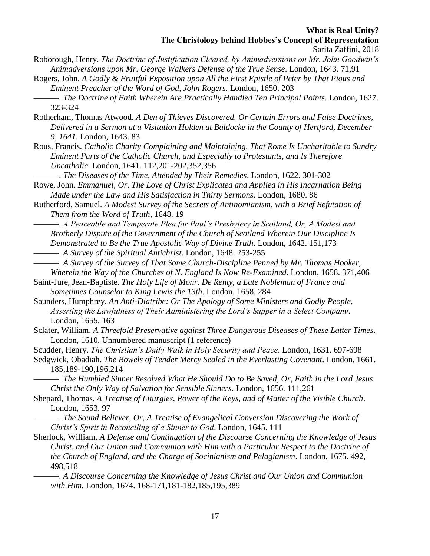- Roborough, Henry. *The Doctrine of Justification Cleared, by Animadversions on Mr. John Goodwin's Animadversions upon Mr. George Walkers Defense of the True Sense*. London, 1643. 71,91
- Rogers, John. *A Godly & Fruitful Exposition upon All the First Epistle of Peter by That Pious and Eminent Preacher of the Word of God, John Rogers.* London, 1650. 203
	- ———. *The Doctrine of Faith Wherein Are Practically Handled Ten Principal Points*. London, 1627. 323-324
- Rotherham, Thomas Atwood. *A Den of Thieves Discovered. Or Certain Errors and False Doctrines, Delivered in a Sermon at a Visitation Holden at Baldocke in the County of Hertford, December 9, 1641*. London, 1643. 83
- Rous, Francis. *Catholic Charity Complaining and Maintaining, That Rome Is Uncharitable to Sundry Eminent Parts of the Catholic Church, and Especially to Protestants, and Is Therefore Uncatholic*. London, 1641. 112,201-202,352,356
- ———. *The Diseases of the Time, Attended by Their Remedies*. London, 1622. 301-302
- Rowe, John. *Emmanuel, Or, The Love of Christ Explicated and Applied in His Incarnation Being Made under the Law and His Satisfaction in Thirty Sermons*. London, 1680. 86
- Rutherford, Samuel. *A Modest Survey of the Secrets of Antinomianism, with a Brief Refutation of Them from the Word of Truth*, 1648. 19
	- ———. *A Peaceable and Temperate Plea for Paul's Presbytery in Scotland, Or, A Modest and Brotherly Dispute of the Government of the Church of Scotland Wherein Our Discipline Is Demonstrated to Be the True Apostolic Way of Divine Truth*. London, 1642. 151,173
	- ———. *A Survey of the Spiritual Antichrist*. London, 1648. 253-255
- ———. *A Survey of the Survey of That Some Church-Discipline Penned by Mr. Thomas Hooker, Wherein the Way of the Churches of N. England Is Now Re-Examined*. London, 1658. 371,406
- Saint-Jure, Jean-Baptiste. *The Holy Life of Monr. De Renty, a Late Nobleman of France and Sometimes Counselor to King Lewis the 13th*. London, 1658. 284
- Saunders, Humphrey. *An Anti-Diatribe: Or The Apology of Some Ministers and Godly People, Asserting the Lawfulness of Their Administering the Lord's Supper in a Select Company*. London, 1655. 163
- Sclater, William. *A Threefold Preservative against Three Dangerous Diseases of These Latter Times*. London, 1610. Unnumbered manuscript (1 reference)
- Scudder, Henry. *The Christian's Daily Walk in Holy Security and Peace*. London, 1631. 697-698
- Sedgwick, Obadiah. *The Bowels of Tender Mercy Sealed in the Everlasting Covenant*. London, 1661. 185,189-190,196,214
	- ———. *The Humbled Sinner Resolved What He Should Do to Be Saved, Or, Faith in the Lord Jesus Christ the Only Way of Salvation for Sensible Sinners*. London, 1656. 111,261
- Shepard, Thomas. *A Treatise of Liturgies, Power of the Keys, and of Matter of the Visible Church*. London, 1653. 97
- ———. *The Sound Believer, Or, A Treatise of Evangelical Conversion Discovering the Work of Christ's Spirit in Reconciling of a Sinner to God*. London, 1645. 111
- Sherlock, William. *A Defense and Continuation of the Discourse Concerning the Knowledge of Jesus Christ, and Our Union and Communion with Him with a Particular Respect to the Doctrine of the Church of England, and the Charge of Socinianism and Pelagianism*. London, 1675. 492, 498,518
	- ———. *A Discourse Concerning the Knowledge of Jesus Christ and Our Union and Communion with Him*. London, 1674. 168-171,181-182,185,195,389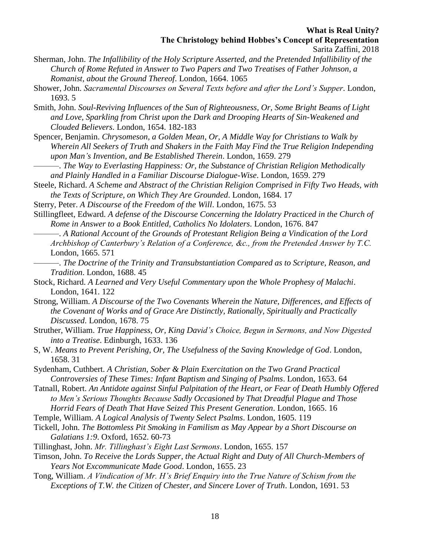- Sherman, John. *The Infallibility of the Holy Scripture Asserted, and the Pretended Infallibility of the Church of Rome Refuted in Answer to Two Papers and Two Treatises of Father Johnson, a Romanist, about the Ground Thereof*. London, 1664. 1065
- Shower, John. *Sacramental Discourses on Several Texts before and after the Lord's Supper*. London, 1693. 5
- Smith, John. *Soul-Reviving Influences of the Sun of Righteousness, Or, Some Bright Beams of Light and Love, Sparkling from Christ upon the Dark and Drooping Hearts of Sin-Weakened and Clouded Believers*. London, 1654. 182-183
- Spencer, Benjamin. *Chrysomeson, a Golden Mean, Or, A Middle Way for Christians to Walk by Wherein All Seekers of Truth and Shakers in the Faith May Find the True Religion Independing upon Man's Invention, and Be Established Therein*. London, 1659. 279
- ———. *The Way to Everlasting Happiness: Or, the Substance of Christian Religion Methodically and Plainly Handled in a Familiar Discourse Dialogue-Wise*. London, 1659. 279
- Steele, Richard. *A Scheme and Abstract of the Christian Religion Comprised in Fifty Two Heads, with the Texts of Scripture, on Which They Are Grounded*. London, 1684. 17
- Sterry, Peter. *A Discourse of the Freedom of the Will*. London, 1675. 53
- Stillingfleet, Edward. *A defense of the Discourse Concerning the Idolatry Practiced in the Church of Rome in Answer to a Book Entitled, Catholics No Idolaters*. London, 1676. 847
- ———. *A Rational Account of the Grounds of Protestant Religion Being a Vindication of the Lord Archbishop of Canterbury's Relation of a Conference, &c., from the Pretended Answer by T.C.* London, 1665. 571
- ———. *The Doctrine of the Trinity and Transubstantiation Compared as to Scripture, Reason, and Tradition*. London, 1688. 45
- Stock, Richard. *A Learned and Very Useful Commentary upon the Whole Prophesy of Malachi*. London, 1641. 122
- Strong, William. *A Discourse of the Two Covenants Wherein the Nature, Differences, and Effects of the Covenant of Works and of Grace Are Distinctly, Rationally, Spiritually and Practically Discussed*. London, 1678. 75
- Struther, William. *True Happiness, Or, King David's Choice, Begun in Sermons, and Now Digested into a Treatise*. Edinburgh, 1633. 136
- S, W. *Means to Prevent Perishing, Or, The Usefulness of the Saving Knowledge of God*. London, 1658. 31
- Sydenham, Cuthbert. *A Christian, Sober & Plain Exercitation on the Two Grand Practical Controversies of These Times: Infant Baptism and Singing of Psalms*. London, 1653. 64
- Tatnall, Robert. *An Antidote against Sinful Palpitation of the Heart, or Fear of Death Humbly Offered to Men's Serious Thoughts Because Sadly Occasioned by That Dreadful Plague and Those Horrid Fears of Death That Have Seized This Present Generation*. London, 1665. 16
- Temple, William. *A Logical Analysis of Twenty Select Psalms*. London, 1605. 119
- Tickell, John. *The Bottomless Pit Smoking in Familism as May Appear by a Short Discourse on Galatians 1:9*. Oxford, 1652. 60-73
- Tillinghast, John. *Mr. Tillinghast's Eight Last Sermons*. London, 1655. 157
- Timson, John. *To Receive the Lords Supper, the Actual Right and Duty of All Church-Members of Years Not Excommunicate Made Good*. London, 1655. 23
- Tong, William. *A Vindication of Mr. H's Brief Enquiry into the True Nature of Schism from the Exceptions of T.W. the Citizen of Chester, and Sincere Lover of Truth*. London, 1691. 53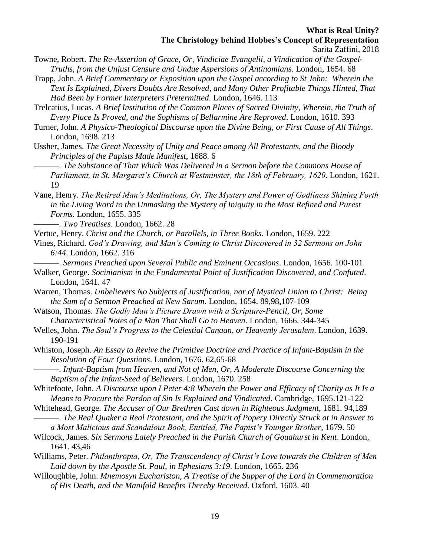- Towne, Robert. *The Re-Assertion of Grace, Or, Vindiciae Evangelii, a Vindication of the Gospel-Truths, from the Unjust Censure and Undue Aspersions of Antinomians*. London, 1654. 68
- Trapp, John. *A Brief Commentary or Exposition upon the Gospel according to St John: Wherein the Text Is Explained, Divers Doubts Are Resolved, and Many Other Profitable Things Hinted, That Had Been by Former Interpreters Pretermitted*. London, 1646. 113
- Trelcatius, Lucas. *A Brief Institution of the Common Places of Sacred Divinity, Wherein, the Truth of Every Place Is Proved, and the Sophisms of Bellarmine Are Reproved*. London, 1610. 393
- Turner, John. *A Physico-Theological Discourse upon the Divine Being, or First Cause of All Things*. London, 1698. 213
- Ussher, James. *The Great Necessity of Unity and Peace among All Protestants, and the Bloody Principles of the Papists Made Manifest*, 1688. 6
	- ———. *The Substance of That Which Was Delivered in a Sermon before the Commons House of Parliament, in St. Margaret's Church at Westminster, the 18th of February, 1620*. London, 1621. 19
- Vane, Henry. *The Retired Man's Meditations, Or, The Mystery and Power of Godliness Shining Forth in the Living Word to the Unmasking the Mystery of Iniquity in the Most Refined and Purest Forms*. London, 1655. 335
	- ———. *Two Treatises*. London, 1662. 28
- Vertue, Henry. *Christ and the Church, or Parallels, in Three Books*. London, 1659. 222
- Vines, Richard. *God's Drawing, and Man's Coming to Christ Discovered in 32 Sermons on John 6:44*. London, 1662. 316
	- ———. *Sermons Preached upon Several Public and Eminent Occasions*. London, 1656. 100-101
- Walker, George. *Socinianism in the Fundamental Point of Justification Discovered, and Confuted*. London, 1641. 47
- Warren, Thomas. *Unbelievers No Subjects of Justification, nor of Mystical Union to Christ: Being the Sum of a Sermon Preached at New Sarum*. London, 1654. 89,98,107-109
- Watson, Thomas. *The Godly Man's Picture Drawn with a Scripture-Pencil, Or, Some Characteristical Notes of a Man That Shall Go to Heaven*. London, 1666. 344-345
- Welles, John. *The Soul's Progress to the Celestial Canaan, or Heavenly Jerusalem*. London, 1639. 190-191
- Whiston, Joseph. *An Essay to Revive the Primitive Doctrine and Practice of Infant-Baptism in the Resolution of Four Questions*. London, 1676. 62,65-68
	- ———. *Infant-Baptism from Heaven, and Not of Men, Or, A Moderate Discourse Concerning the Baptism of the Infant-Seed of Believers*. London, 1670. 258
- Whitefoote, John. *A Discourse upon I Peter 4:8 Wherein the Power and Efficacy of Charity as It Is a Means to Procure the Pardon of Sin Is Explained and Vindicated*. Cambridge, 1695.121-122
- Whitehead, George. *The Accuser of Our Brethren Cast down in Righteous Judgment*, 1681. 94,189 ———. *The Real Quaker a Real Protestant, and the Spirit of Popery Directly Struck at in Answer to*
- *a Most Malicious and Scandalous Book, Entitled, The Papist's Younger Brother*, 1679. 50
- Wilcock, James. *Six Sermons Lately Preached in the Parish Church of Gouahurst in Kent*. London, 1641. 43,46
- Williams, Peter. *Philanthrōpia, Or, The Transcendency of Christ's Love towards the Children of Men Laid down by the Apostle St. Paul, in Ephesians 3:19*. London, 1665. 236
- Willoughbie, John. *Mnemosyn Euchariston, A Treatise of the Supper of the Lord in Commemoration of His Death, and the Manifold Benefits Thereby Received*. Oxford, 1603. 40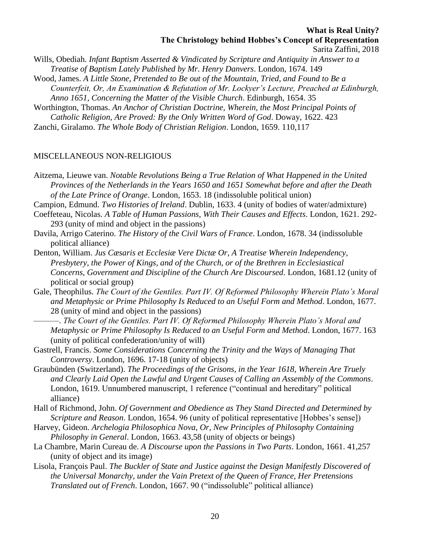- Wills, Obediah. *Infant Baptism Asserted & Vindicated by Scripture and Antiquity in Answer to a Treatise of Baptism Lately Published by Mr. Henry Danvers*. London, 1674. 149
- Wood, James. *A Little Stone, Pretended to Be out of the Mountain, Tried, and Found to Be a Counterfeit, Or, An Examination & Refutation of Mr. Lockyer's Lecture, Preached at Edinburgh, Anno 1651, Concerning the Matter of the Visible Church*. Edinburgh, 1654. 35
- Worthington, Thomas. *An Anchor of Christian Doctrine, Wherein, the Most Principal Points of Catholic Religion, Are Proved: By the Only Written Word of God*. Doway, 1622. 423

Zanchi, Giralamo. *The Whole Body of Christian Religion*. London, 1659. 110,117

### MISCELLANEOUS NON-RELIGIOUS

Aitzema, Lieuwe van. *Notable Revolutions Being a True Relation of What Happened in the United Provinces of the Netherlands in the Years 1650 and 1651 Somewhat before and after the Death of the Late Prince of Orange*. London, 1653. 18 (indissoluble political union)

- Campion, Edmund. *Two Histories of Ireland*. Dublin, 1633. 4 (unity of bodies of water/admixture)
- Coeffeteau, Nicolas. *A Table of Human Passions, With Their Causes and Effects*. London, 1621. 292- 293 (unity of mind and object in the passions)
- Davila, Arrigo Caterino. *The History of the Civil Wars of France*. London, 1678. 34 (indissoluble political alliance)
- Denton, William. *Jus Cæsaris et Ecclesiæ Vere Dictæ Or, A Treatise Wherein Independency, Presbytery, the Power of Kings, and of the Church, or of the Brethren in Ecclesiastical Concerns, Government and Discipline of the Church Are Discoursed*. London, 1681.12 (unity of political or social group)
- Gale, Theophilus. *The Court of the Gentiles. Part IV. Of Reformed Philosophy Wherein Plato's Moral and Metaphysic or Prime Philosophy Is Reduced to an Useful Form and Method*. London, 1677. 28 (unity of mind and object in the passions)
- ———. *The Court of the Gentiles. Part IV. Of Reformed Philosophy Wherein Plato's Moral and Metaphysic or Prime Philosophy Is Reduced to an Useful Form and Method*. London, 1677. 163 (unity of political confederation/unity of will)
- Gastrell, Francis. *Some Considerations Concerning the Trinity and the Ways of Managing That Controversy*. London, 1696. 17-18 (unity of objects)
- Graubünden (Switzerland). *The Proceedings of the Grisons, in the Year 1618, Wherein Are Truely and Clearly Laid Open the Lawful and Urgent Causes of Calling an Assembly of the Commons*. London, 1619. Unnumbered manuscript, 1 reference ("continual and hereditary" political alliance)
- Hall of Richmond, John. *Of Government and Obedience as They Stand Directed and Determined by Scripture and Reason*. London, 1654. 96 (unity of political representative [Hobbes's sense])
- Harvey, Gideon. *Archelogia Philosophica Nova, Or, New Principles of Philosophy Containing Philosophy in General*. London, 1663. 43,58 (unity of objects or beings)
- La Chambre, Marin Cureau de. *A Discourse upon the Passions in Two Parts*. London, 1661. 41,257 (unity of object and its image)
- Lisola, François Paul. *The Buckler of State and Justice against the Design Manifestly Discovered of the Universal Monarchy, under the Vain Pretext of the Queen of France, Her Pretensions Translated out of French*. London, 1667. 90 ("indissoluble" political alliance)

Sarita Zaffini, 2018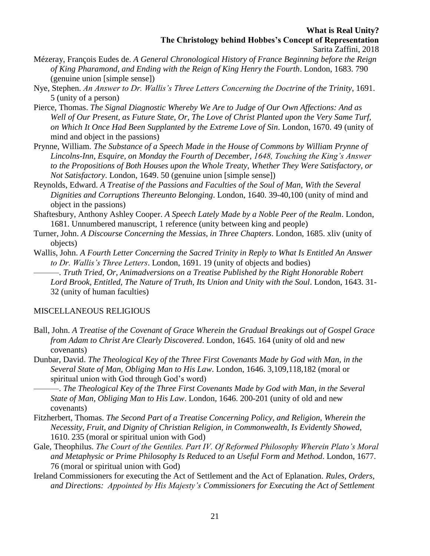- Mézeray, François Eudes de. *A General Chronological History of France Beginning before the Reign of King Pharamond, and Ending with the Reign of King Henry the Fourth*. London, 1683. 790 (genuine union [simple sense])
- Nye, Stephen. *An Answer to Dr. Wallis's Three Letters Concerning the Doctrine of the Trinity*, 1691. 5 (unity of a person)
- Pierce, Thomas. *The Signal Diagnostic Whereby We Are to Judge of Our Own Affections: And as Well of Our Present, as Future State, Or, The Love of Christ Planted upon the Very Same Turf, on Which It Once Had Been Supplanted by the Extreme Love of Sin*. London, 1670. 49 (unity of mind and object in the passions)
- Prynne, William. *The Substance of a Speech Made in the House of Commons by William Prynne of Lincolns-Inn, Esquire, on Monday the Fourth of December, 1648, Touching the King's Answer to the Propositions of Both Houses upon the Whole Treaty, Whether They Were Satisfactory, or Not Satisfactory*. London, 1649. 50 (genuine union [simple sense])
- Reynolds, Edward. *A Treatise of the Passions and Faculties of the Soul of Man, With the Several Dignities and Corruptions Thereunto Belonging*. London, 1640. 39-40,100 (unity of mind and object in the passions)
- Shaftesbury, Anthony Ashley Cooper. *A Speech Lately Made by a Noble Peer of the Realm*. London, 1681. Unnumbered manuscript, 1 reference (unity between king and people)
- Turner, John. *A Discourse Concerning the Messias, in Three Chapters*. London, 1685. xliv (unity of objects)
- Wallis, John. *A Fourth Letter Concerning the Sacred Trinity in Reply to What Is Entitled An Answer to Dr. Wallis's Three Letters*. London, 1691. 19 (unity of objects and bodies)

———. *Truth Tried, Or, Animadversions on a Treatise Published by the Right Honorable Robert Lord Brook, Entitled, The Nature of Truth, Its Union and Unity with the Soul*. London, 1643. 31- 32 (unity of human faculties)

### MISCELLANEOUS RELIGIOUS

- Ball, John. *A Treatise of the Covenant of Grace Wherein the Gradual Breakings out of Gospel Grace from Adam to Christ Are Clearly Discovered*. London, 1645. 164 (unity of old and new covenants)
- Dunbar, David. *The Theological Key of the Three First Covenants Made by God with Man, in the Several State of Man, Obliging Man to His Law*. London, 1646. 3,109,118,182 (moral or spiritual union with God through God's word)
	- ———. *The Theological Key of the Three First Covenants Made by God with Man, in the Several State of Man, Obliging Man to His Law*. London, 1646. 200-201 (unity of old and new covenants)
- Fitzherbert, Thomas. *The Second Part of a Treatise Concerning Policy, and Religion, Wherein the Necessity, Fruit, and Dignity of Christian Religion, in Commonwealth, Is Evidently Showed*, 1610. 235 (moral or spiritual union with God)
- Gale, Theophilus. *The Court of the Gentiles. Part IV. Of Reformed Philosophy Wherein Plato's Moral and Metaphysic or Prime Philosophy Is Reduced to an Useful Form and Method*. London, 1677. 76 (moral or spiritual union with God)
- Ireland Commissioners for executing the Act of Settlement and the Act of Eplanation. *Rules, Orders, and Directions: Appointed by His Majesty's Commissioners for Executing the Act of Settlement*